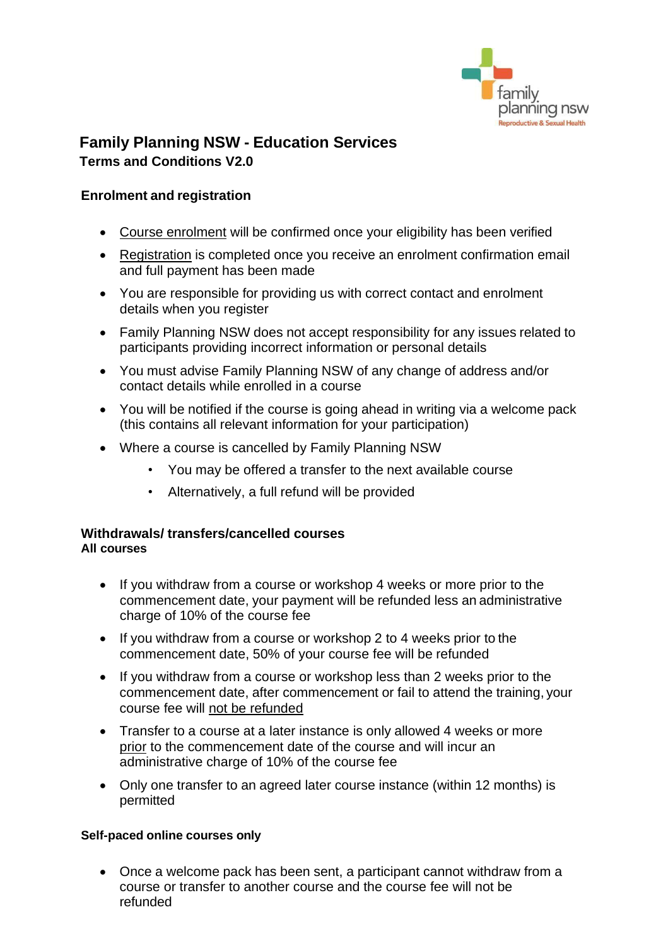

## **Family Planning NSW - Education Services Terms and Conditions V2.0**

### **Enrolment and registration**

- Course enrolment will be confirmed once your eligibility has been verified
- Registration is completed once you receive an enrolment confirmation email and full payment has been made
- You are responsible for providing us with correct contact and enrolment details when you register
- Family Planning NSW does not accept responsibility for any issues related to participants providing incorrect information or personal details
- You must advise Family Planning NSW of any change of address and/or contact details while enrolled in a course
- You will be notified if the course is going ahead in writing via a welcome pack (this contains all relevant information for your participation)
- Where a course is cancelled by Family Planning NSW
	- You may be offered a transfer to the next available course
	- Alternatively, a full refund will be provided

#### **Withdrawals/ transfers/cancelled courses All courses**

- If you withdraw from a course or workshop 4 weeks or more prior to the commencement date, your payment will be refunded less an administrative charge of 10% of the course fee
- If you withdraw from a course or workshop 2 to 4 weeks prior to the commencement date, 50% of your course fee will be refunded
- If you withdraw from a course or workshop less than 2 weeks prior to the commencement date, after commencement or fail to attend the training, your course fee will not be refunded
- Transfer to a course at a later instance is only allowed 4 weeks or more prior to the commencement date of the course and will incur an administrative charge of 10% of the course fee
- Only one transfer to an agreed later course instance (within 12 months) is permitted

#### **Self-paced online courses only**

• Once a welcome pack has been sent, a participant cannot withdraw from a course or transfer to another course and the course fee will not be refunded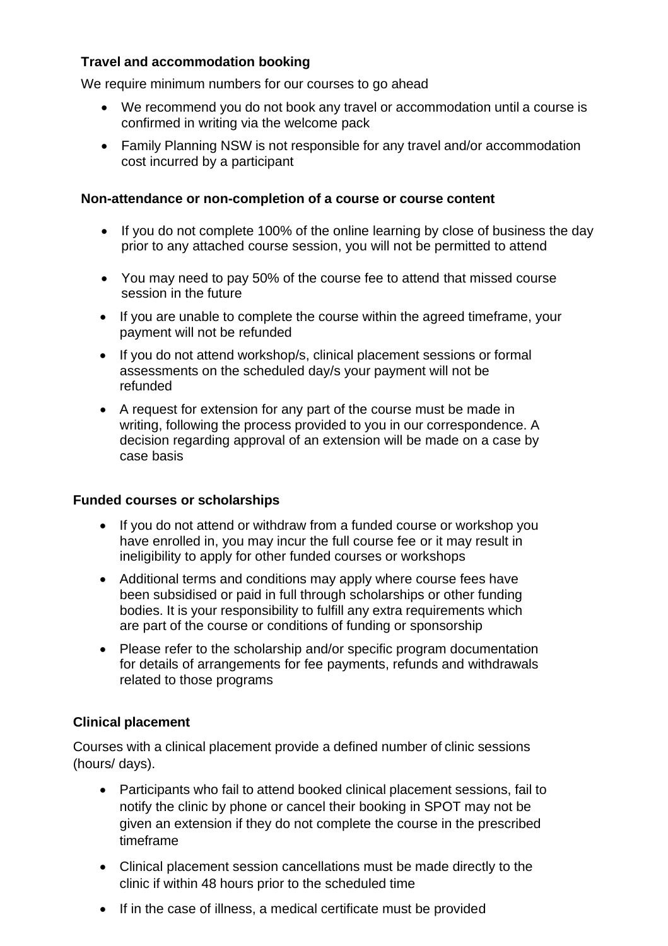## **Travel and accommodation booking**

We require minimum numbers for our courses to go ahead

- We recommend you do not book any travel or accommodation until a course is confirmed in writing via the welcome pack
- Family Planning NSW is not responsible for any travel and/or accommodation cost incurred by a participant

#### **Non-attendance or non-completion of a course or course content**

- If you do not complete 100% of the online learning by close of business the day prior to any attached course session, you will not be permitted to attend
- You may need to pay 50% of the course fee to attend that missed course session in the future
- If you are unable to complete the course within the agreed timeframe, your payment will not be refunded
- If you do not attend workshop/s, clinical placement sessions or formal assessments on the scheduled day/s your payment will not be refunded
- A request for extension for any part of the course must be made in writing, following the process provided to you in our correspondence. A decision regarding approval of an extension will be made on a case by case basis

### **Funded courses or scholarships**

- If you do not attend or withdraw from a funded course or workshop you have enrolled in, you may incur the full course fee or it may result in ineligibility to apply for other funded courses or workshops
- Additional terms and conditions may apply where course fees have been subsidised or paid in full through scholarships or other funding bodies. It is your responsibility to fulfill any extra requirements which are part of the course or conditions of funding or sponsorship
- Please refer to the scholarship and/or specific program documentation for details of arrangements for fee payments, refunds and withdrawals related to those programs

### **Clinical placement**

Courses with a clinical placement provide a defined number of clinic sessions (hours/ days).

- Participants who fail to attend booked clinical placement sessions, fail to notify the clinic by phone or cancel their booking in SPOT may not be given an extension if they do not complete the course in the prescribed timeframe
- Clinical placement session cancellations must be made directly to the clinic if within 48 hours prior to the scheduled time
- If in the case of illness, a medical certificate must be provided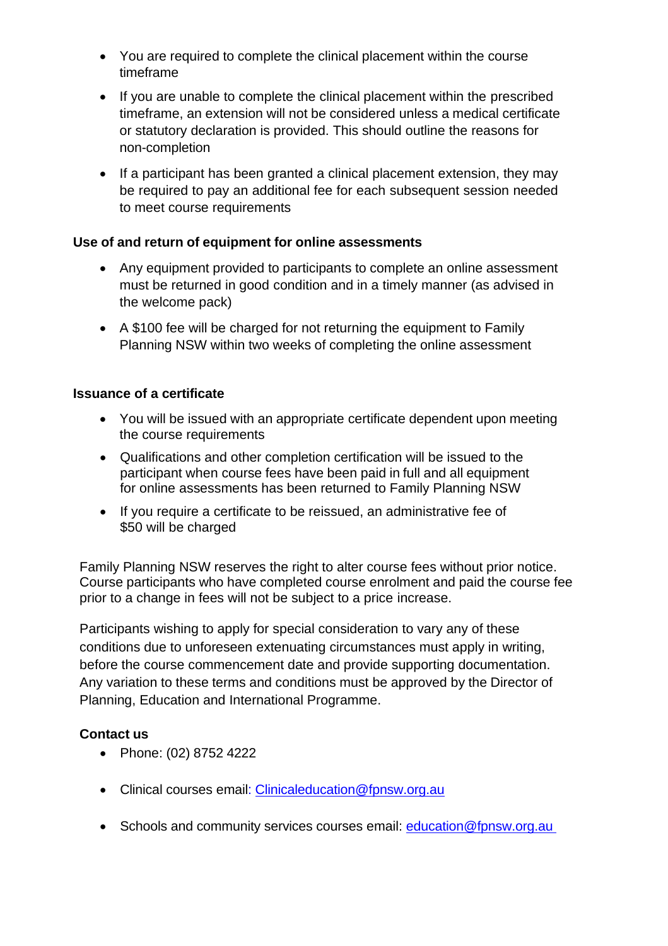- You are required to complete the clinical placement within the course timeframe
- If you are unable to complete the clinical placement within the prescribed timeframe, an extension will not be considered unless a medical certificate or statutory declaration is provided. This should outline the reasons for non-completion
- If a participant has been granted a clinical placement extension, they may be required to pay an additional fee for each subsequent session needed to meet course requirements

### **Use of and return of equipment for online assessments**

- Any equipment provided to participants to complete an online assessment must be returned in good condition and in a timely manner (as advised in the welcome pack)
- A \$100 fee will be charged for not returning the equipment to Family Planning NSW within two weeks of completing the online assessment

#### **Issuance of a certificate**

- You will be issued with an appropriate certificate dependent upon meeting the course requirements
- Qualifications and other completion certification will be issued to the participant when course fees have been paid in full and all equipment for online assessments has been returned to Family Planning NSW
- If you require a certificate to be reissued, an administrative fee of \$50 will be charged

Family Planning NSW reserves the right to alter course fees without prior notice. Course participants who have completed course enrolment and paid the course fee prior to a change in fees will not be subject to a price increase.

Participants wishing to apply for special consideration to vary any of these conditions due to unforeseen extenuating circumstances must apply in writing, before the course commencement date and provide supporting documentation. Any variation to these terms and conditions must be approved by the Director of Planning, Education and International Programme.

### **Contact us**

- Phone: (02) 8752 4222
- Clinical courses email: Clinicaleducation@fpnsw.org.au
- Schools and community services courses email: [education@fpnsw.org.au](mailto:education@fpnsw.org.au)